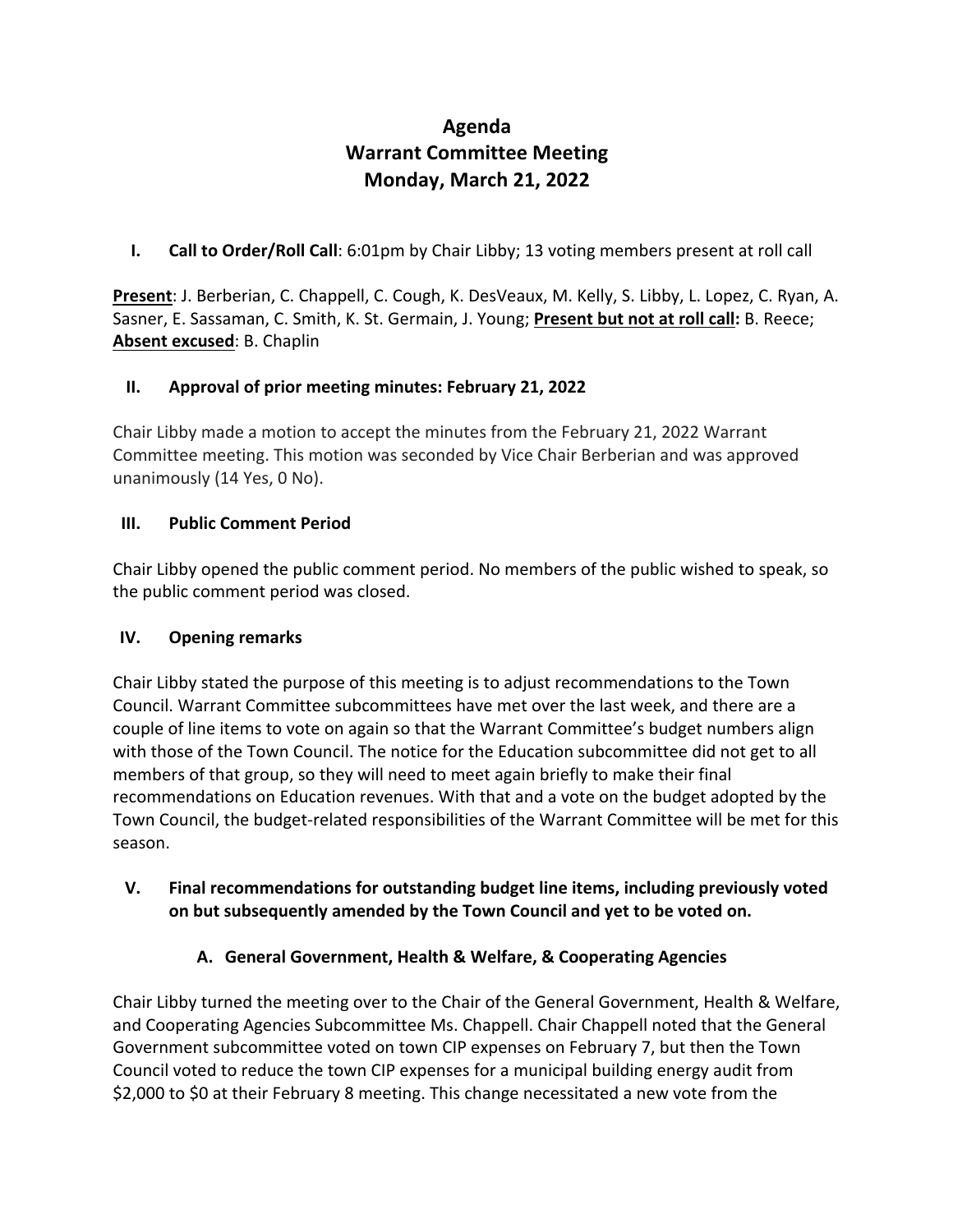# **Agenda Warrant Committee Meeting Monday, March 21, 2022**

**I. Call to Order/Roll Call**: 6:01pm by Chair Libby; 13 voting members present at roll call

**Present**: J. Berberian, C. Chappell, C. Cough, K. DesVeaux, M. Kelly, S. Libby, L. Lopez, C. Ryan, A. Sasner, E. Sassaman, C. Smith, K. St. Germain, J. Young; **Present but not at roll call:** B. Reece; **Absent excused**: B. Chaplin

## **II. Approval of prior meeting minutes: February 21, 2022**

Chair Libby made a motion to accept the minutes from the February 21, 2022 Warrant Committee meeting. This motion was seconded by Vice Chair Berberian and was approved unanimously (14 Yes, 0 No).

## **III. Public Comment Period**

Chair Libby opened the public comment period. No members of the public wished to speak, so the public comment period was closed.

## **IV. Opening remarks**

Chair Libby stated the purpose of this meeting is to adjust recommendations to the Town Council. Warrant Committee subcommittees have met over the last week, and there are a couple of line items to vote on again so that the Warrant Committee's budget numbers align with those of the Town Council. The notice for the Education subcommittee did not get to all members of that group, so they will need to meet again briefly to make their final recommendations on Education revenues. With that and a vote on the budget adopted by the Town Council, the budget-related responsibilities of the Warrant Committee will be met for this season.

## **V. Final recommendations for outstanding budget line items, including previously voted on but subsequently amended by the Town Council and yet to be voted on.**

# **A. General Government, Health & Welfare, & Cooperating Agencies**

Chair Libby turned the meeting over to the Chair of the General Government, Health & Welfare, and Cooperating Agencies Subcommittee Ms. Chappell. Chair Chappell noted that the General Government subcommittee voted on town CIP expenses on February 7, but then the Town Council voted to reduce the town CIP expenses for a municipal building energy audit from \$2,000 to \$0 at their February 8 meeting. This change necessitated a new vote from the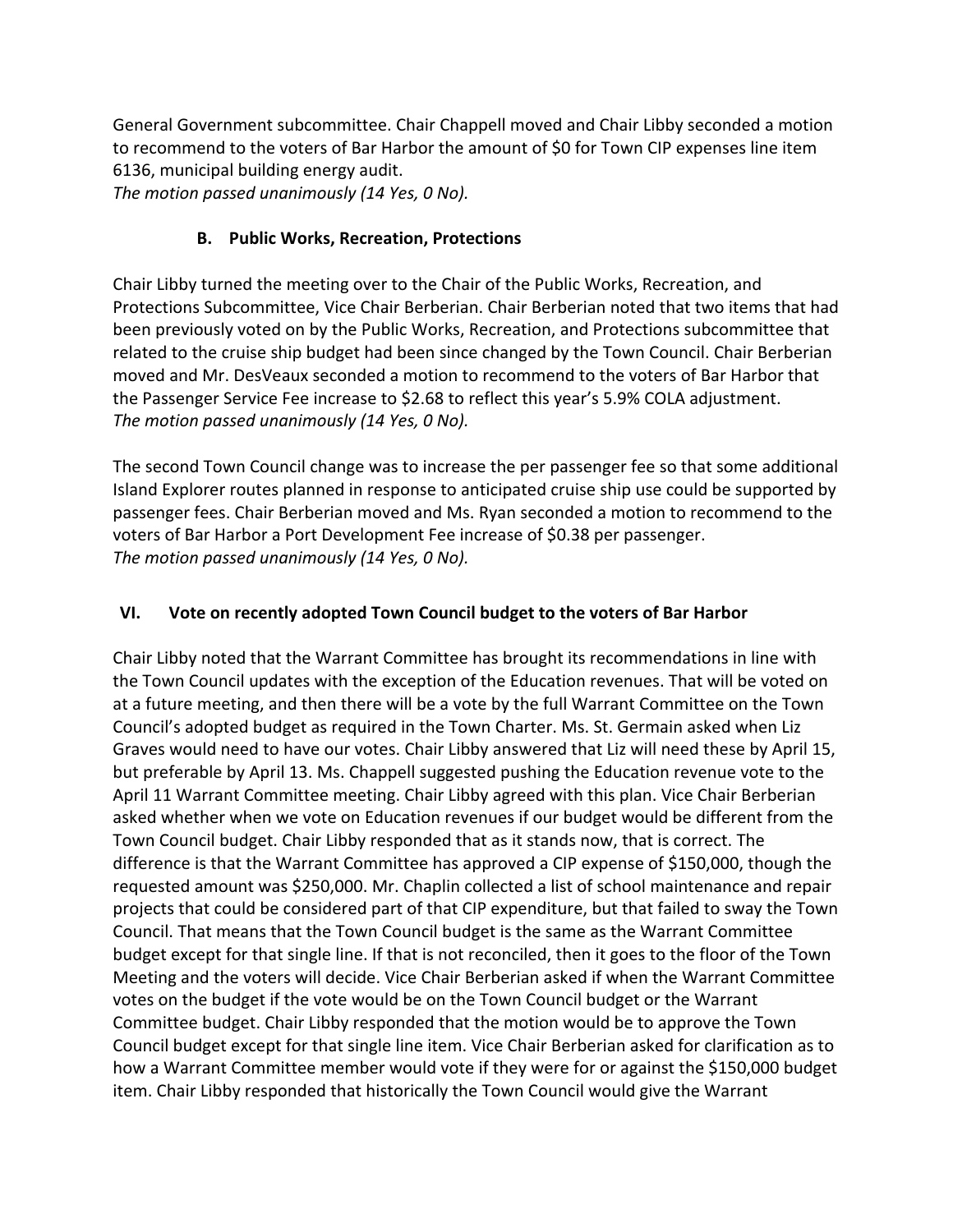General Government subcommittee. Chair Chappell moved and Chair Libby seconded a motion to recommend to the voters of Bar Harbor the amount of \$0 for Town CIP expenses line item 6136, municipal building energy audit.

*The motion passed unanimously (14 Yes, 0 No).*

# **B. Public Works, Recreation, Protections**

Chair Libby turned the meeting over to the Chair of the Public Works, Recreation, and Protections Subcommittee, Vice Chair Berberian. Chair Berberian noted that two items that had been previously voted on by the Public Works, Recreation, and Protections subcommittee that related to the cruise ship budget had been since changed by the Town Council. Chair Berberian moved and Mr. DesVeaux seconded a motion to recommend to the voters of Bar Harbor that the Passenger Service Fee increase to \$2.68 to reflect this year's 5.9% COLA adjustment. *The motion passed unanimously (14 Yes, 0 No).*

The second Town Council change was to increase the per passenger fee so that some additional Island Explorer routes planned in response to anticipated cruise ship use could be supported by passenger fees. Chair Berberian moved and Ms. Ryan seconded a motion to recommend to the voters of Bar Harbor a Port Development Fee increase of \$0.38 per passenger. *The motion passed unanimously (14 Yes, 0 No).*

## **VI. Vote on recently adopted Town Council budget to the voters of Bar Harbor**

Chair Libby noted that the Warrant Committee has brought its recommendations in line with the Town Council updates with the exception of the Education revenues. That will be voted on at a future meeting, and then there will be a vote by the full Warrant Committee on the Town Council's adopted budget as required in the Town Charter. Ms. St. Germain asked when Liz Graves would need to have our votes. Chair Libby answered that Liz will need these by April 15, but preferable by April 13. Ms. Chappell suggested pushing the Education revenue vote to the April 11 Warrant Committee meeting. Chair Libby agreed with this plan. Vice Chair Berberian asked whether when we vote on Education revenues if our budget would be different from the Town Council budget. Chair Libby responded that as it stands now, that is correct. The difference is that the Warrant Committee has approved a CIP expense of \$150,000, though the requested amount was \$250,000. Mr. Chaplin collected a list of school maintenance and repair projects that could be considered part of that CIP expenditure, but that failed to sway the Town Council. That means that the Town Council budget is the same as the Warrant Committee budget except for that single line. If that is not reconciled, then it goes to the floor of the Town Meeting and the voters will decide. Vice Chair Berberian asked if when the Warrant Committee votes on the budget if the vote would be on the Town Council budget or the Warrant Committee budget. Chair Libby responded that the motion would be to approve the Town Council budget except for that single line item. Vice Chair Berberian asked for clarification as to how a Warrant Committee member would vote if they were for or against the \$150,000 budget item. Chair Libby responded that historically the Town Council would give the Warrant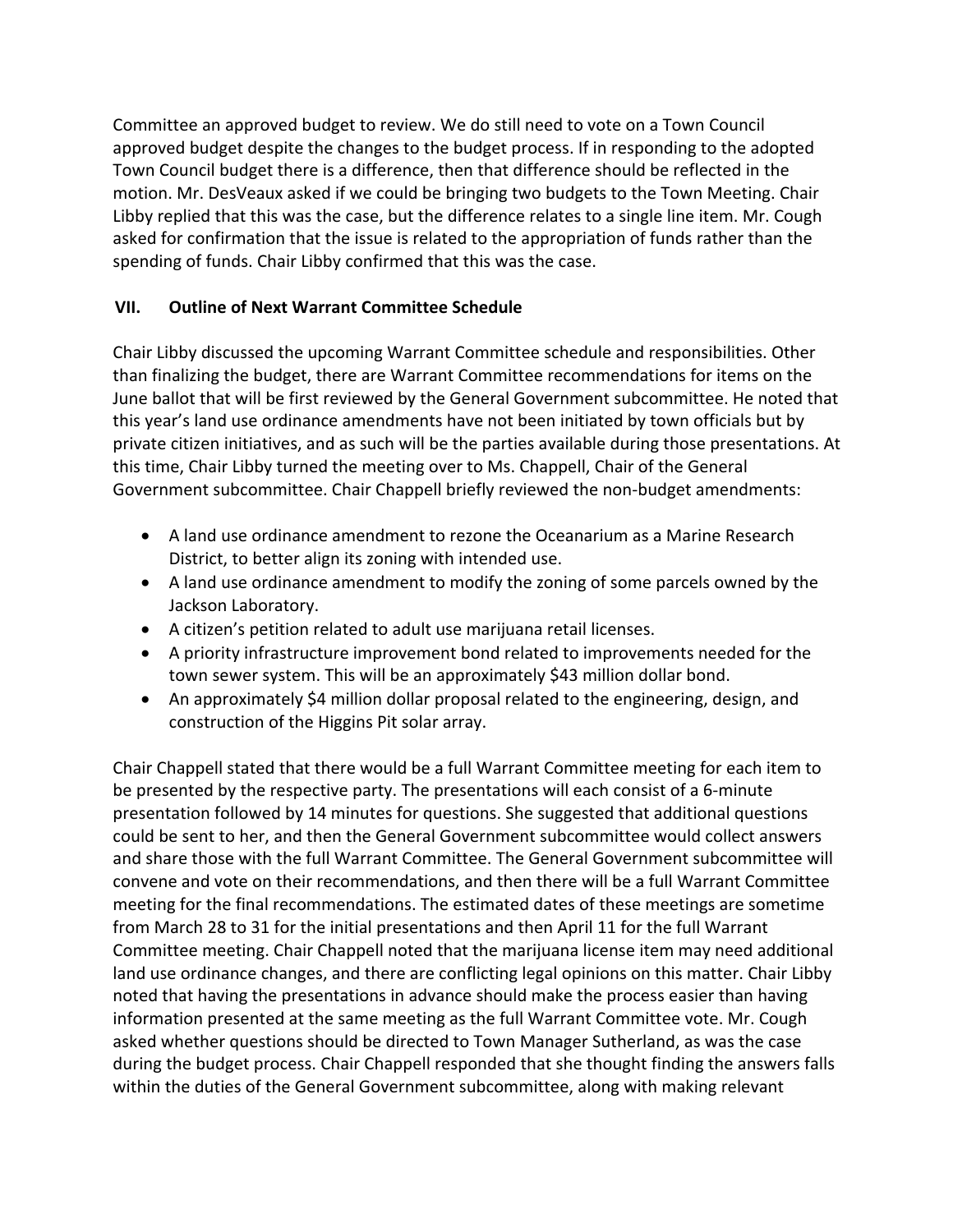Committee an approved budget to review. We do still need to vote on a Town Council approved budget despite the changes to the budget process. If in responding to the adopted Town Council budget there is a difference, then that difference should be reflected in the motion. Mr. DesVeaux asked if we could be bringing two budgets to the Town Meeting. Chair Libby replied that this was the case, but the difference relates to a single line item. Mr. Cough asked for confirmation that the issue is related to the appropriation of funds rather than the spending of funds. Chair Libby confirmed that this was the case.

## **VII. Outline of Next Warrant Committee Schedule**

Chair Libby discussed the upcoming Warrant Committee schedule and responsibilities. Other than finalizing the budget, there are Warrant Committee recommendations for items on the June ballot that will be first reviewed by the General Government subcommittee. He noted that this year's land use ordinance amendments have not been initiated by town officials but by private citizen initiatives, and as such will be the parties available during those presentations. At this time, Chair Libby turned the meeting over to Ms. Chappell, Chair of the General Government subcommittee. Chair Chappell briefly reviewed the non-budget amendments:

- A land use ordinance amendment to rezone the Oceanarium as a Marine Research District, to better align its zoning with intended use.
- A land use ordinance amendment to modify the zoning of some parcels owned by the Jackson Laboratory.
- A citizen's petition related to adult use marijuana retail licenses.
- A priority infrastructure improvement bond related to improvements needed for the town sewer system. This will be an approximately \$43 million dollar bond.
- An approximately \$4 million dollar proposal related to the engineering, design, and construction of the Higgins Pit solar array.

Chair Chappell stated that there would be a full Warrant Committee meeting for each item to be presented by the respective party. The presentations will each consist of a 6-minute presentation followed by 14 minutes for questions. She suggested that additional questions could be sent to her, and then the General Government subcommittee would collect answers and share those with the full Warrant Committee. The General Government subcommittee will convene and vote on their recommendations, and then there will be a full Warrant Committee meeting for the final recommendations. The estimated dates of these meetings are sometime from March 28 to 31 for the initial presentations and then April 11 for the full Warrant Committee meeting. Chair Chappell noted that the marijuana license item may need additional land use ordinance changes, and there are conflicting legal opinions on this matter. Chair Libby noted that having the presentations in advance should make the process easier than having information presented at the same meeting as the full Warrant Committee vote. Mr. Cough asked whether questions should be directed to Town Manager Sutherland, as was the case during the budget process. Chair Chappell responded that she thought finding the answers falls within the duties of the General Government subcommittee, along with making relevant